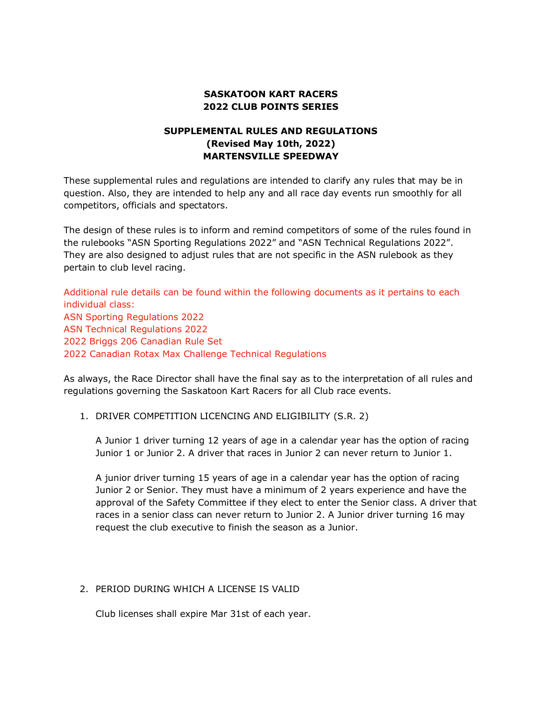# **SASKATOON KART RACERS 2022 CLUB POINTS SERIES**

# **SUPPLEMENTAL RULES AND REGULATIONS (Revised May 10th, 2022) MARTENSVILLE SPEEDWAY**

These supplemental rules and regulations are intended to clarify any rules that may be in question. Also, they are intended to help any and all race day events run smoothly for all competitors, officials and spectators.

The design of these rules is to inform and remind competitors of some of the rules found in the rulebooks "ASN Sporting Regulations 2022" and "ASN Technical Regulations 2022". They are also designed to adjust rules that are not specific in the ASN rulebook as they pertain to club level racing.

Additional rule details can be found within the following documents as it pertains to each individual class: ASN Sporting Regulations 2022 ASN Technical Regulations 2022 2022 Briggs 206 Canadian Rule Set 2022 Canadian Rotax Max Challenge Technical Regulations

As always, the Race Director shall have the final say as to the interpretation of all rules and regulations governing the Saskatoon Kart Racers for all Club race events.

1. DRIVER COMPETITION LICENCING AND ELIGIBILITY (S.R. 2)

A Junior 1 driver turning 12 years of age in a calendar year has the option of racing Junior 1 or Junior 2. A driver that races in Junior 2 can never return to Junior 1.

A junior driver turning 15 years of age in a calendar year has the option of racing Junior 2 or Senior. They must have a minimum of 2 years experience and have the approval of the Safety Committee if they elect to enter the Senior class. A driver that races in a senior class can never return to Junior 2. A Junior driver turning 16 may request the club executive to finish the season as a Junior.

## 2. PERIOD DURING WHICH A LICENSE IS VALID

Club licenses shall expire Mar 31st of each year.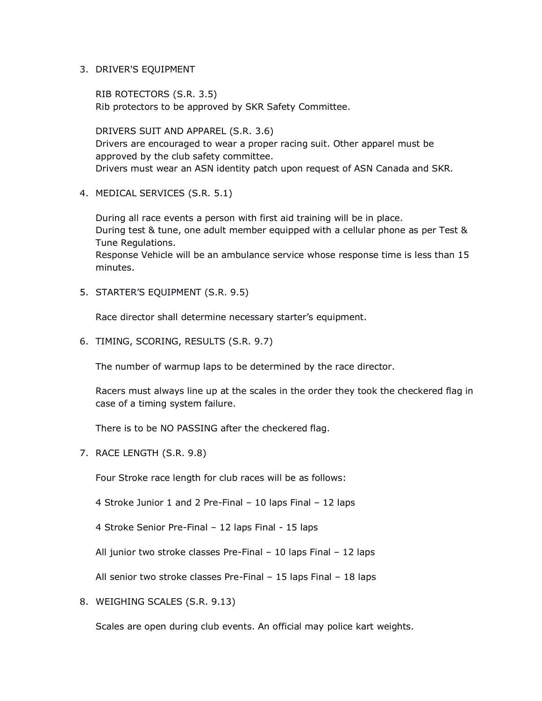3. DRIVER'S EQUIPMENT

RIB ROTECTORS (S.R. 3.5) Rib protectors to be approved by SKR Safety Committee.

DRIVERS SUIT AND APPAREL (S.R. 3.6) Drivers are encouraged to wear a proper racing suit. Other apparel must be approved by the club safety committee. Drivers must wear an ASN identity patch upon request of ASN Canada and SKR.

4. MEDICAL SERVICES (S.R. 5.1)

During all race events a person with first aid training will be in place. During test & tune, one adult member equipped with a cellular phone as per Test & Tune Regulations.

Response Vehicle will be an ambulance service whose response time is less than 15 minutes.

5. STARTER'S EQUIPMENT (S.R. 9.5)

Race director shall determine necessary starter's equipment.

6. TIMING, SCORING, RESULTS (S.R. 9.7)

The number of warmup laps to be determined by the race director.

Racers must always line up at the scales in the order they took the checkered flag in case of a timing system failure.

There is to be NO PASSING after the checkered flag.

7. RACE LENGTH (S.R. 9.8)

Four Stroke race length for club races will be as follows:

4 Stroke Junior 1 and 2 Pre-Final – 10 laps Final – 12 laps

4 Stroke Senior Pre-Final – 12 laps Final - 15 laps

All junior two stroke classes Pre-Final – 10 laps Final – 12 laps

All senior two stroke classes Pre-Final – 15 laps Final – 18 laps

8. WEIGHING SCALES (S.R. 9.13)

Scales are open during club events. An official may police kart weights.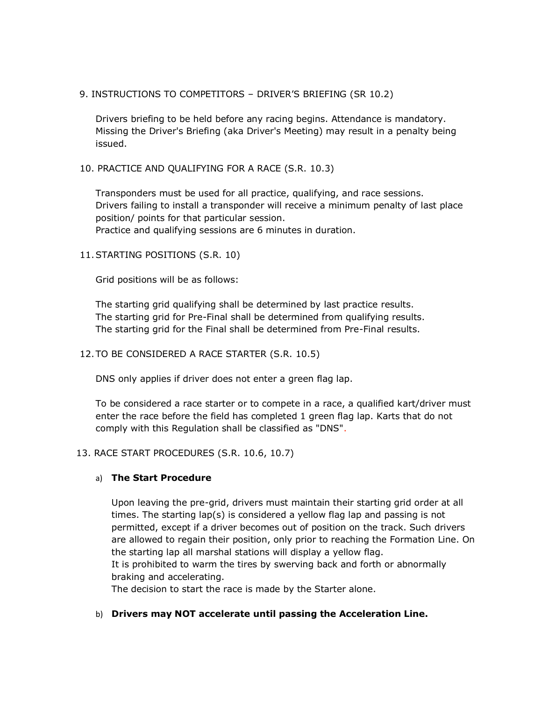## 9. INSTRUCTIONS TO COMPETITORS – DRIVER'S BRIEFING (SR 10.2)

Drivers briefing to be held before any racing begins. Attendance is mandatory. Missing the Driver's Briefing (aka Driver's Meeting) may result in a penalty being issued.

## 10. PRACTICE AND QUALIFYING FOR A RACE (S.R. 10.3)

Transponders must be used for all practice, qualifying, and race sessions. Drivers failing to install a transponder will receive a minimum penalty of last place position/ points for that particular session. Practice and qualifying sessions are 6 minutes in duration.

## 11.STARTING POSITIONS (S.R. 10)

Grid positions will be as follows:

The starting grid qualifying shall be determined by last practice results. The starting grid for Pre-Final shall be determined from qualifying results. The starting grid for the Final shall be determined from Pre-Final results.

#### 12.TO BE CONSIDERED A RACE STARTER (S.R. 10.5)

DNS only applies if driver does not enter a green flag lap.

To be considered a race starter or to compete in a race, a qualified kart/driver must enter the race before the field has completed 1 green flag lap. Karts that do not comply with this Regulation shall be classified as "DNS".

#### 13. RACE START PROCEDURES (S.R. 10.6, 10.7)

#### a) **The Start Procedure**

Upon leaving the pre-grid, drivers must maintain their starting grid order at all times. The starting lap(s) is considered a yellow flag lap and passing is not permitted, except if a driver becomes out of position on the track. Such drivers are allowed to regain their position, only prior to reaching the Formation Line. On the starting lap all marshal stations will display a yellow flag. It is prohibited to warm the tires by swerving back and forth or abnormally braking and accelerating.

The decision to start the race is made by the Starter alone.

#### b) **Drivers may NOT accelerate until passing the Acceleration Line.**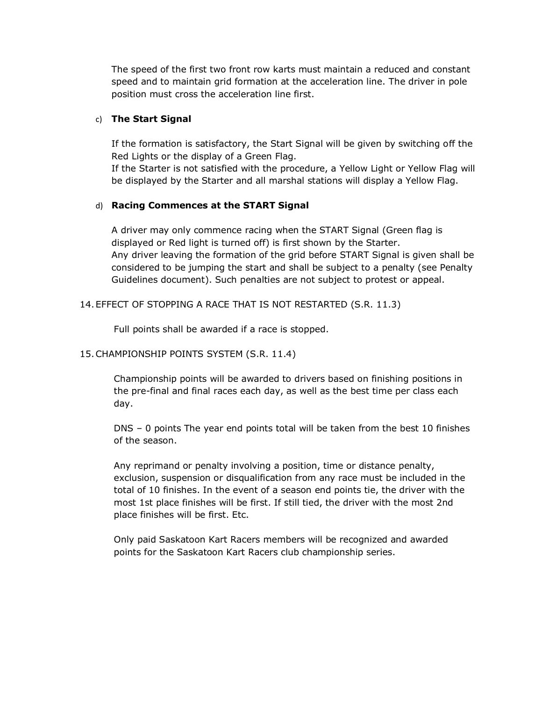The speed of the first two front row karts must maintain a reduced and constant speed and to maintain grid formation at the acceleration line. The driver in pole position must cross the acceleration line first.

# c) **The Start Signal**

If the formation is satisfactory, the Start Signal will be given by switching off the Red Lights or the display of a Green Flag.

If the Starter is not satisfied with the procedure, a Yellow Light or Yellow Flag will be displayed by the Starter and all marshal stations will display a Yellow Flag.

## d) **Racing Commences at the START Signal**

A driver may only commence racing when the START Signal (Green flag is displayed or Red light is turned off) is first shown by the Starter. Any driver leaving the formation of the grid before START Signal is given shall be considered to be jumping the start and shall be subject to a penalty (see Penalty Guidelines document). Such penalties are not subject to protest or appeal.

## 14.EFFECT OF STOPPING A RACE THAT IS NOT RESTARTED (S.R. 11.3)

Full points shall be awarded if a race is stopped.

# 15.CHAMPIONSHIP POINTS SYSTEM (S.R. 11.4)

Championship points will be awarded to drivers based on finishing positions in the pre-final and final races each day, as well as the best time per class each day.

DNS – 0 points The year end points total will be taken from the best 10 finishes of the season.

Any reprimand or penalty involving a position, time or distance penalty, exclusion, suspension or disqualification from any race must be included in the total of 10 finishes. In the event of a season end points tie, the driver with the most 1st place finishes will be first. If still tied, the driver with the most 2nd place finishes will be first. Etc.

Only paid Saskatoon Kart Racers members will be recognized and awarded points for the Saskatoon Kart Racers club championship series.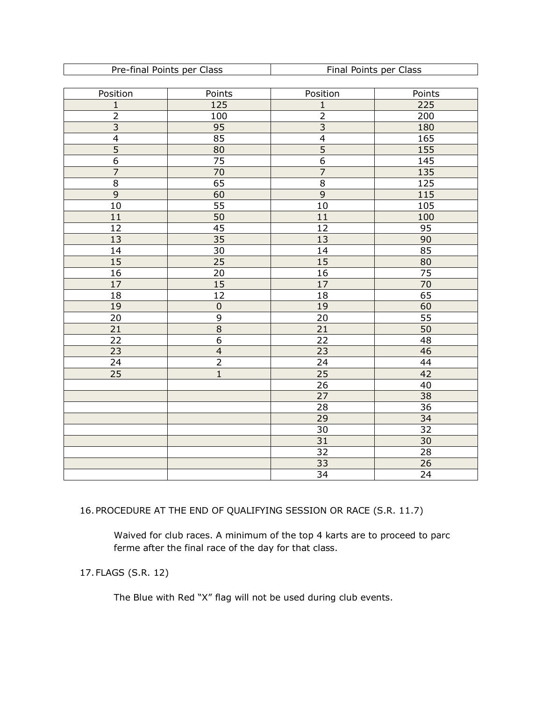| Pre-final Points per Class | Final Points per Class |
|----------------------------|------------------------|

| Position        | Points                     | Points<br>Position    |                 |  |
|-----------------|----------------------------|-----------------------|-----------------|--|
| $\mathbf{1}$    | 125                        | 225<br>$\mathbf{1}$   |                 |  |
| $\overline{2}$  | 100                        | $\overline{2}$        | 200             |  |
| $\overline{3}$  | 95                         | $\overline{3}$        | 180             |  |
| $\overline{4}$  | 85                         | $\overline{4}$        | 165             |  |
| $\overline{5}$  | $\overline{80}$            | $\overline{5}$        | 155             |  |
| $\overline{6}$  | 75                         | $\overline{6}$        | 145             |  |
| $\overline{7}$  | 70                         | $\overline{7}$        | 135             |  |
| $\overline{8}$  | 65                         | $\overline{8}$<br>125 |                 |  |
| $\overline{9}$  | 60                         | $\overline{9}$        | 115             |  |
| 10              | $\overline{55}$            | $\overline{10}$       | 105             |  |
| 11              | $\frac{50}{45}$            | 11                    | 100             |  |
| $\overline{12}$ |                            | $\overline{12}$       | $\overline{95}$ |  |
| 13              | $\overline{35}$            | $\overline{13}$       | 90              |  |
| 14              | $\overline{30}$            | 14                    | 85              |  |
| $\overline{15}$ | $\overline{25}$            | 15                    | 80              |  |
| 16              | $\overline{20}$            | $\overline{16}$       | $\overline{75}$ |  |
| $\overline{17}$ | 15                         | 17                    | $\overline{70}$ |  |
| 18              | $\overline{12}$            | 18                    | 65              |  |
| $\overline{19}$ | $rac{0}{8}$<br>$rac{9}{6}$ | 19                    | 60              |  |
| $\overline{20}$ |                            | $\overline{20}$       | $\overline{55}$ |  |
| $\overline{21}$ |                            | $\overline{21}$       | 50              |  |
| 22              |                            | 22                    | $\overline{48}$ |  |
| 23              | $\overline{4}$             | 23                    | 46              |  |
| 24              | $\overline{2}$             | 24                    | 44              |  |
| $\overline{25}$ | $\overline{1}$             | $\overline{25}$       | 42              |  |
|                 |                            | $\overline{26}$       | $\overline{40}$ |  |
|                 |                            | $\overline{27}$       | 38              |  |
|                 |                            | $\overline{28}$       | $\overline{36}$ |  |
|                 |                            | $\overline{29}$       | 34              |  |
|                 |                            | 30                    | $\overline{32}$ |  |
|                 |                            | $\overline{31}$       | 30              |  |
|                 |                            | 32                    | 28              |  |
|                 |                            | 33                    | 26              |  |
|                 |                            | 34                    | 24              |  |

16.PROCEDURE AT THE END OF QUALIFYING SESSION OR RACE (S.R. 11.7)

Waived for club races. A minimum of the top 4 karts are to proceed to parc ferme after the final race of the day for that class.

17.FLAGS (S.R. 12)

The Blue with Red "X" flag will not be used during club events.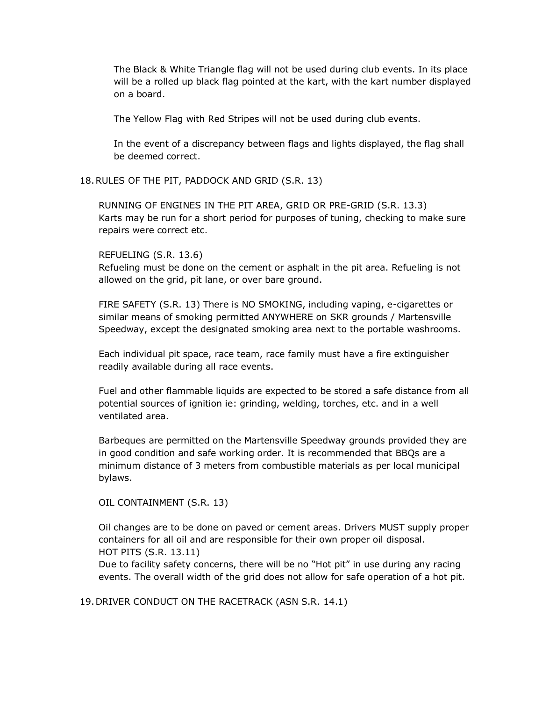The Black & White Triangle flag will not be used during club events. In its place will be a rolled up black flag pointed at the kart, with the kart number displayed on a board.

The Yellow Flag with Red Stripes will not be used during club events.

In the event of a discrepancy between flags and lights displayed, the flag shall be deemed correct.

## 18.RULES OF THE PIT, PADDOCK AND GRID (S.R. 13)

RUNNING OF ENGINES IN THE PIT AREA, GRID OR PRE-GRID (S.R. 13.3) Karts may be run for a short period for purposes of tuning, checking to make sure repairs were correct etc.

## REFUELING (S.R. 13.6)

Refueling must be done on the cement or asphalt in the pit area. Refueling is not allowed on the grid, pit lane, or over bare ground.

FIRE SAFETY (S.R. 13) There is NO SMOKING, including vaping, e-cigarettes or similar means of smoking permitted ANYWHERE on SKR grounds / Martensville Speedway, except the designated smoking area next to the portable washrooms.

Each individual pit space, race team, race family must have a fire extinguisher readily available during all race events.

Fuel and other flammable liquids are expected to be stored a safe distance from all potential sources of ignition ie: grinding, welding, torches, etc. and in a well ventilated area.

Barbeques are permitted on the Martensville Speedway grounds provided they are in good condition and safe working order. It is recommended that BBQs are a minimum distance of 3 meters from combustible materials as per local municipal bylaws.

OIL CONTAINMENT (S.R. 13)

Oil changes are to be done on paved or cement areas. Drivers MUST supply proper containers for all oil and are responsible for their own proper oil disposal. HOT PITS (S.R. 13.11)

Due to facility safety concerns, there will be no "Hot pit" in use during any racing events. The overall width of the grid does not allow for safe operation of a hot pit.

19.DRIVER CONDUCT ON THE RACETRACK (ASN S.R. 14.1)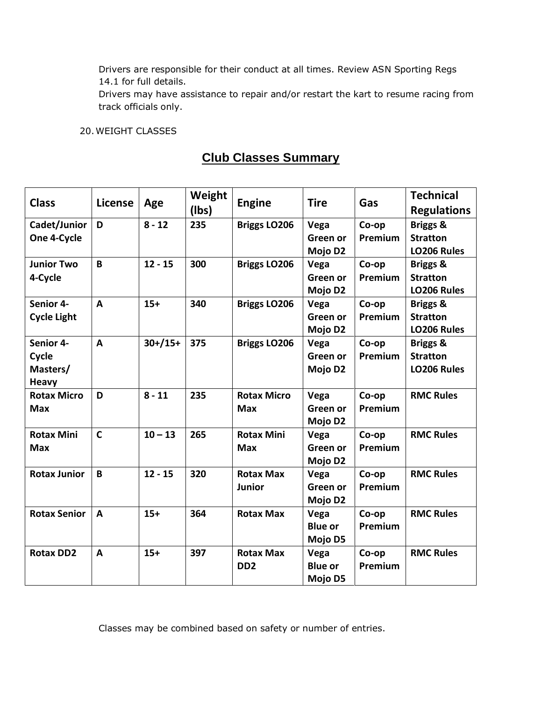Drivers are responsible for their conduct at all times. Review ASN Sporting Regs 14.1 for full details.

Drivers may have assistance to repair and/or restart the kart to resume racing from track officials only.

## 20.WEIGHT CLASSES

# **Club Classes Summary**

| <b>Class</b>        | <b>License</b> | Age         | Weight<br>(Ibs) | <b>Engine</b>       | <b>Tire</b>         | Gas     | <b>Technical</b>    |
|---------------------|----------------|-------------|-----------------|---------------------|---------------------|---------|---------------------|
|                     |                |             |                 |                     |                     |         | <b>Regulations</b>  |
| Cadet/Junior        | D              | $8 - 12$    | 235             | <b>Briggs LO206</b> | Vega                | Co-op   | <b>Briggs &amp;</b> |
| One 4-Cycle         |                |             |                 |                     | Green or            | Premium | <b>Stratton</b>     |
|                     |                |             |                 |                     | Mojo D2             |         | LO206 Rules         |
| <b>Junior Two</b>   | B              | $12 - 15$   | 300             | <b>Briggs LO206</b> | Vega                | Co-op   | <b>Briggs &amp;</b> |
| 4-Cycle             |                |             |                 |                     | Green or            | Premium | <b>Stratton</b>     |
|                     |                |             |                 |                     | Mojo D2             |         | LO206 Rules         |
| Senior 4-           | A              | $15+$       | 340             | <b>Briggs LO206</b> | Vega                | Co-op   | <b>Briggs &amp;</b> |
| <b>Cycle Light</b>  |                |             |                 |                     | Green or            | Premium | <b>Stratton</b>     |
|                     |                |             |                 |                     | Mojo D <sub>2</sub> |         | LO206 Rules         |
| Senior 4-           | A              | $30+ / 15+$ | 375             | <b>Briggs LO206</b> | Vega                | Co-op   | Briggs &            |
| Cycle               |                |             |                 |                     | Green or            | Premium | <b>Stratton</b>     |
| Masters/            |                |             |                 |                     | Mojo D2             |         | LO206 Rules         |
| <b>Heavy</b>        |                |             |                 |                     |                     |         |                     |
| <b>Rotax Micro</b>  | D              | $8 - 11$    | 235             | <b>Rotax Micro</b>  | Vega                | Co-op   | <b>RMC Rules</b>    |
| <b>Max</b>          |                |             |                 | <b>Max</b>          | Green or            | Premium |                     |
|                     |                |             |                 |                     | Mojo D2             |         |                     |
| <b>Rotax Mini</b>   | $\mathsf{C}$   | $10 - 13$   | 265             | <b>Rotax Mini</b>   | Vega                | Co-op   | <b>RMC Rules</b>    |
| <b>Max</b>          |                |             |                 | <b>Max</b>          | Green or            | Premium |                     |
|                     |                |             |                 |                     | Mojo D2             |         |                     |
| <b>Rotax Junior</b> | B              | $12 - 15$   | 320             | <b>Rotax Max</b>    | Vega                | Co-op   | <b>RMC Rules</b>    |
|                     |                |             |                 | <b>Junior</b>       | Green or            | Premium |                     |
|                     |                |             |                 |                     | Mojo D <sub>2</sub> |         |                     |
| <b>Rotax Senior</b> | A              | $15+$       | 364             | <b>Rotax Max</b>    | Vega                | Co-op   | <b>RMC Rules</b>    |
|                     |                |             |                 |                     | <b>Blue or</b>      | Premium |                     |
|                     |                |             |                 |                     | Mojo D5             |         |                     |
| <b>Rotax DD2</b>    | A              | $15+$       | 397             | <b>Rotax Max</b>    | Vega                | Co-op   | <b>RMC Rules</b>    |
|                     |                |             |                 | DD <sub>2</sub>     | <b>Blue or</b>      | Premium |                     |
|                     |                |             |                 |                     | Mojo D5             |         |                     |

Classes may be combined based on safety or number of entries.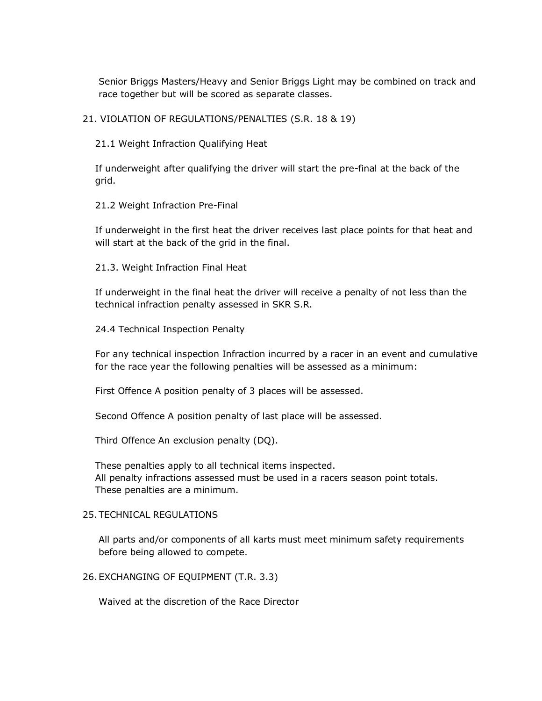Senior Briggs Masters/Heavy and Senior Briggs Light may be combined on track and race together but will be scored as separate classes.

21. VIOLATION OF REGULATIONS/PENALTIES (S.R. 18 & 19)

21.1 Weight Infraction Qualifying Heat

If underweight after qualifying the driver will start the pre-final at the back of the grid.

21.2 Weight Infraction Pre-Final

If underweight in the first heat the driver receives last place points for that heat and will start at the back of the grid in the final.

21.3. Weight Infraction Final Heat

If underweight in the final heat the driver will receive a penalty of not less than the technical infraction penalty assessed in SKR S.R.

24.4 Technical Inspection Penalty

For any technical inspection Infraction incurred by a racer in an event and cumulative for the race year the following penalties will be assessed as a minimum:

First Offence A position penalty of 3 places will be assessed.

Second Offence A position penalty of last place will be assessed.

Third Offence An exclusion penalty (DQ).

These penalties apply to all technical items inspected. All penalty infractions assessed must be used in a racers season point totals. These penalties are a minimum.

#### 25.TECHNICAL REGULATIONS

All parts and/or components of all karts must meet minimum safety requirements before being allowed to compete.

26.EXCHANGING OF EQUIPMENT (T.R. 3.3)

Waived at the discretion of the Race Director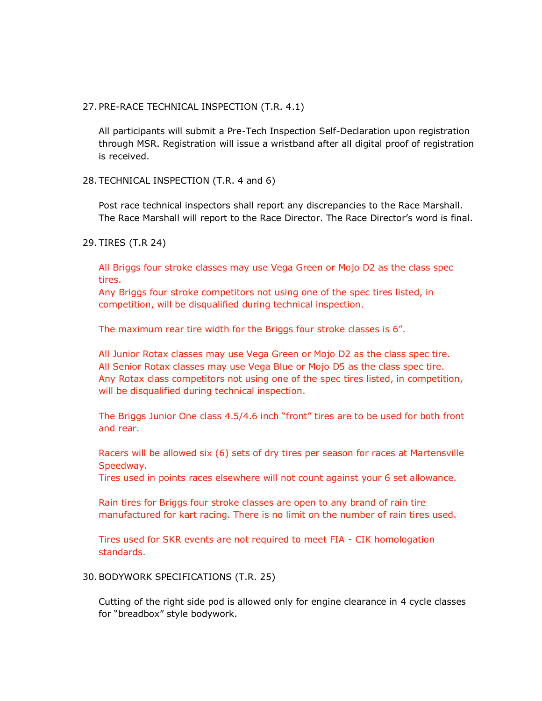#### 27.PRE-RACE TECHNICAL INSPECTION (T.R. 4.1)

All participants will submit a Pre-Tech Inspection Self-Declaration upon registration through MSR. Registration will issue a wristband after all digital proof of registration is received.

#### 28.TECHNICAL INSPECTION (T.R. 4 and 6)

Post race technical inspectors shall report any discrepancies to the Race Marshall. The Race Marshall will report to the Race Director. The Race Director's word is final.

#### 29.TIRES (T.R 24)

All Briggs four stroke classes may use Vega Green or Mojo D2 as the class spec tires.

Any Briggs four stroke competitors not using one of the spec tires listed, in competition, will be disqualified during technical inspection.

The maximum rear tire width for the Briggs four stroke classes is 6".

All Junior Rotax classes may use Vega Green or Mojo D2 as the class spec tire. All Senior Rotax classes may use Vega Blue or Mojo D5 as the class spec tire. Any Rotax class competitors not using one of the spec tires listed, in competition, will be disqualified during technical inspection.

The Briggs Junior One class 4.5/4.6 inch "front" tires are to be used for both front and rear.

Racers will be allowed six (6) sets of dry tires per season for races at Martensville Speedway.

Tires used in points races elsewhere will not count against your 6 set allowance.

Rain tires for Briggs four stroke classes are open to any brand of rain tire manufactured for kart racing. There is no limit on the number of rain tires used.

Tires used for SKR events are not required to meet FIA - CIK homologation standards.

#### 30.BODYWORK SPECIFICATIONS (T.R. 25)

Cutting of the right side pod is allowed only for engine clearance in 4 cycle classes for "breadbox" style bodywork.